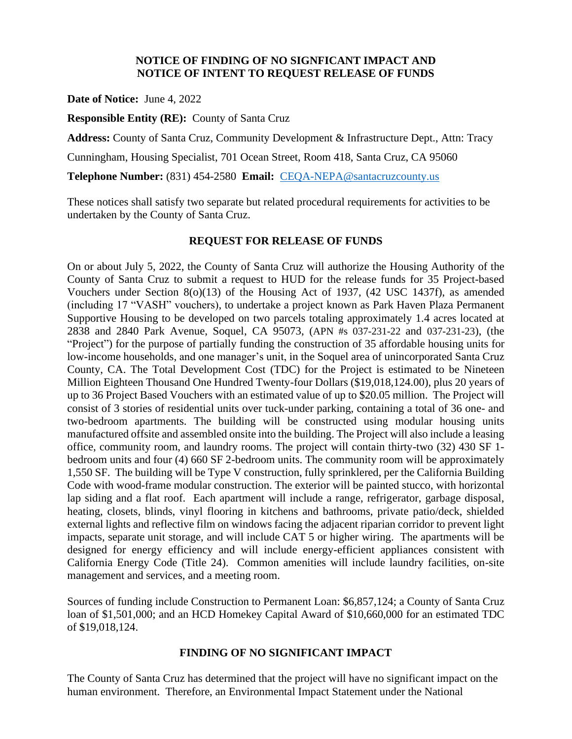## **NOTICE OF FINDING OF NO SIGNFICANT IMPACT AND NOTICE OF INTENT TO REQUEST RELEASE OF FUNDS**

**Date of Notice:** June 4, 2022

**Responsible Entity (RE):** County of Santa Cruz

**Address:** County of Santa Cruz, Community Development & Infrastructure Dept., Attn: Tracy

Cunningham, Housing Specialist, 701 Ocean Street, Room 418, Santa Cruz, CA 95060

**Telephone Number:** (831) 454-2580 **Email:** [CEQA-NEPA@santacruzcounty.us](mailto:CEQA-NEPA@santacruzcounty.us)

These notices shall satisfy two separate but related procedural requirements for activities to be undertaken by the County of Santa Cruz.

#### **REQUEST FOR RELEASE OF FUNDS**

On or about July 5, 2022, the County of Santa Cruz will authorize the Housing Authority of the County of Santa Cruz to submit a request to HUD for the release funds for 35 Project-based Vouchers under Section 8(o)(13) of the Housing Act of 1937, (42 USC 1437f), as amended (including 17 "VASH" vouchers), to undertake a project known as Park Haven Plaza Permanent Supportive Housing to be developed on two parcels totaling approximately 1.4 acres located at 2838 and 2840 Park Avenue, Soquel, CA 95073, (APN #s 037-231-22 and 037-231-23), (the "Project") for the purpose of partially funding the construction of 35 affordable housing units for low-income households, and one manager's unit, in the Soquel area of unincorporated Santa Cruz County, CA. The Total Development Cost (TDC) for the Project is estimated to be Nineteen Million Eighteen Thousand One Hundred Twenty-four Dollars (\$19,018,124.00), plus 20 years of up to 36 Project Based Vouchers with an estimated value of up to \$20.05 million. The Project will consist of 3 stories of residential units over tuck-under parking, containing a total of 36 one- and two-bedroom apartments. The building will be constructed using modular housing units manufactured offsite and assembled onsite into the building. The Project will also include a leasing office, community room, and laundry rooms. The project will contain thirty-two (32) 430 SF 1 bedroom units and four (4) 660 SF 2-bedroom units. The community room will be approximately 1,550 SF. The building will be Type V construction, fully sprinklered, per the California Building Code with wood-frame modular construction. The exterior will be painted stucco, with horizontal lap siding and a flat roof. Each apartment will include a range, refrigerator, garbage disposal, heating, closets, blinds, vinyl flooring in kitchens and bathrooms, private patio/deck, shielded external lights and reflective film on windows facing the adjacent riparian corridor to prevent light impacts, separate unit storage, and will include CAT 5 or higher wiring. The apartments will be designed for energy efficiency and will include energy-efficient appliances consistent with California Energy Code (Title 24). Common amenities will include laundry facilities, on-site management and services, and a meeting room.

Sources of funding include Construction to Permanent Loan: \$6,857,124; a County of Santa Cruz loan of \$1,501,000; and an HCD Homekey Capital Award of \$10,660,000 for an estimated TDC of \$19,018,124.

## **FINDING OF NO SIGNIFICANT IMPACT**

The County of Santa Cruz has determined that the project will have no significant impact on the human environment. Therefore, an Environmental Impact Statement under the National